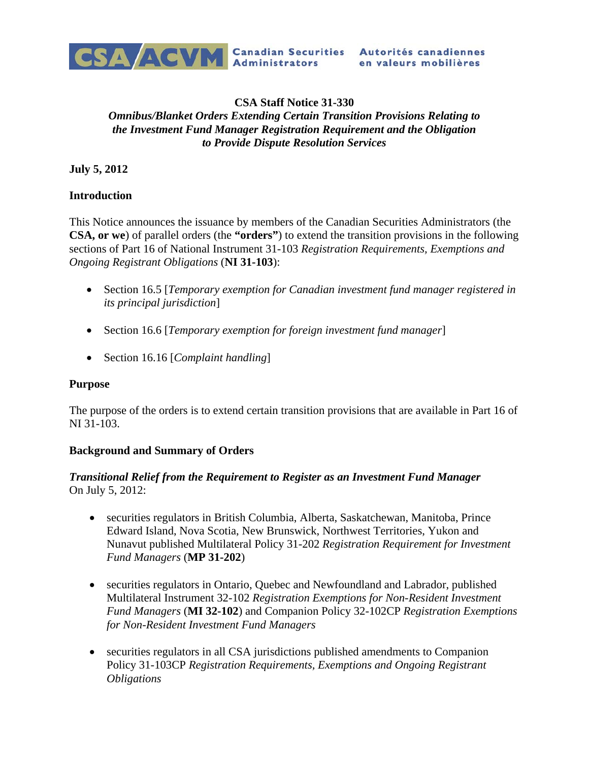

# en valeurs mobilières

#### **CSA Staff Notice 31-330**  *Omnibus/Blanket Orders Extending Certain Transition Provisions Relating to the Investment Fund Manager Registration Requirement and the Obligation to Provide Dispute Resolution Services*

**July 5, 2012** 

### **Introduction**

This Notice announces the issuance by members of the Canadian Securities Administrators (the **CSA, or we**) of parallel orders (the **"orders"**) to extend the transition provisions in the following sections of Part 16 of National Instrument 31-103 *Registration Requirements, Exemptions and Ongoing Registrant Obligations* (**NI 31-103**):

- Section 16.5 [*Temporary exemption for Canadian investment fund manager registered in its principal jurisdiction*]
- Section 16.6 [*Temporary exemption for foreign investment fund manager*]
- Section 16.16 [*Complaint handling*]

### **Purpose**

The purpose of the orders is to extend certain transition provisions that are available in Part 16 of NI 31-103.

### **Background and Summary of Orders**

#### *Transitional Relief from the Requirement to Register as an Investment Fund Manager*  On July 5, 2012:

- securities regulators in British Columbia, Alberta, Saskatchewan, Manitoba, Prince Edward Island, Nova Scotia, New Brunswick, Northwest Territories, Yukon and Nunavut published Multilateral Policy 31-202 *Registration Requirement for Investment Fund Managers* (**MP 31-202**)
- securities regulators in Ontario, Quebec and Newfoundland and Labrador, published Multilateral Instrument 32-102 *Registration Exemptions for Non-Resident Investment Fund Managers* (**MI 32-102**) and Companion Policy 32-102CP *Registration Exemptions for Non-Resident Investment Fund Managers*
- securities regulators in all CSA jurisdictions published amendments to Companion Policy 31-103CP *Registration Requirements, Exemptions and Ongoing Registrant Obligations*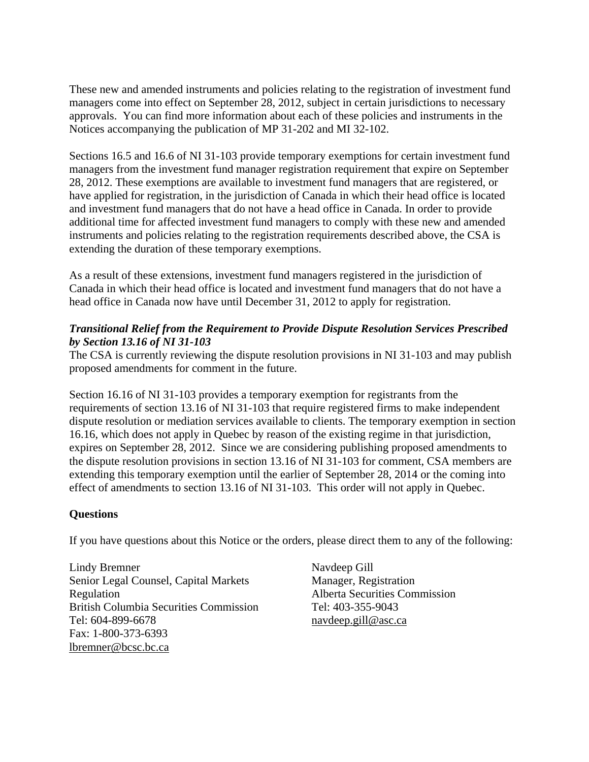These new and amended instruments and policies relating to the registration of investment fund managers come into effect on September 28, 2012, subject in certain jurisdictions to necessary approvals. You can find more information about each of these policies and instruments in the Notices accompanying the publication of MP 31-202 and MI 32-102.

Sections 16.5 and 16.6 of NI 31-103 provide temporary exemptions for certain investment fund managers from the investment fund manager registration requirement that expire on September 28, 2012. These exemptions are available to investment fund managers that are registered, or have applied for registration, in the jurisdiction of Canada in which their head office is located and investment fund managers that do not have a head office in Canada. In order to provide additional time for affected investment fund managers to comply with these new and amended instruments and policies relating to the registration requirements described above, the CSA is extending the duration of these temporary exemptions.

As a result of these extensions, investment fund managers registered in the jurisdiction of Canada in which their head office is located and investment fund managers that do not have a head office in Canada now have until December 31, 2012 to apply for registration.

## *Transitional Relief from the Requirement to Provide Dispute Resolution Services Prescribed by Section 13.16 of NI 31-103*

The CSA is currently reviewing the dispute resolution provisions in NI 31-103 and may publish proposed amendments for comment in the future.

Section 16.16 of NI 31-103 provides a temporary exemption for registrants from the requirements of section 13.16 of NI 31-103 that require registered firms to make independent dispute resolution or mediation services available to clients. The temporary exemption in section 16.16, which does not apply in Quebec by reason of the existing regime in that jurisdiction, expires on September 28, 2012. Since we are considering publishing proposed amendments to the dispute resolution provisions in section 13.16 of NI 31-103 for comment, CSA members are extending this temporary exemption until the earlier of September 28, 2014 or the coming into effect of amendments to section 13.16 of NI 31-103. This order will not apply in Quebec.

### **Questions**

If you have questions about this Notice or the orders, please direct them to any of the following:

Lindy Bremner Senior Legal Counsel, Capital Markets Regulation British Columbia Securities Commission Tel: 604-899-6678 Fax: 1-800-373-6393 lbremner@bcsc.bc.ca

Navdeep Gill Manager, Registration Alberta Securities Commission Tel: 403-355-9043 navdeep.gill@asc.ca